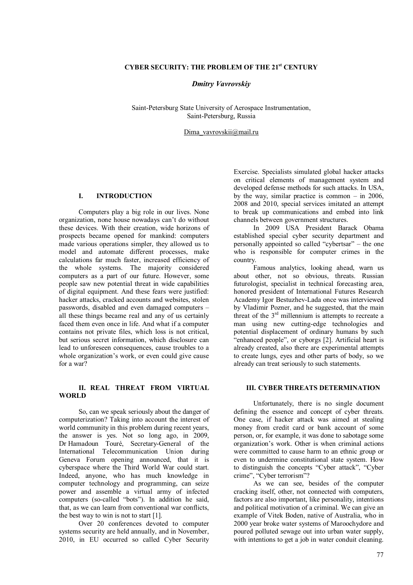# **CYBER SECURITY: THE PROBLEM OF THE 21st CENTURY**

### *Dmitry Vavrovskiy*

Saint-Petersburg State University of Aerospace Instrumentation, Saint-Petersburg, Russia

Dima\_vavrovskii@mail.ru

## **І. INTRODUCTION**

Computers play a big role in our lives. None organization, none house nowadays can't do without these devices. With their creation, wide horizons of prospects became opened for mankind: computers made various operations simpler, they allowed us to model and automate different processes, make calculations far much faster, increased efficiency of the whole systems. The majority considered computers as a part of our future. However, some people saw new potential threat in wide capabilities of digital equipment. And these fears were justified: hacker attacks, cracked accounts and websites, stolen passwords, disabled and even damaged computers – all these things became real and any of us certainly faced them even once in life. And what if a computer contains not private files, which loss is not critical but serious secret information, which disclosure can lead to unforeseen consequences, cause troubles to a whole organization's work, or even could give cause for a war?

### **II. REAL THREAT FROM VIRTUAL WORLD**

So, can we speak seriously about the danger of computerization? Taking into account the interest of world community in this problem during recent years, the answer is yes. Not so long ago, in 2009, Dr Hamadoun Touré, Secretary-General of the International Telecommunication Union during Geneva Forum opening announced, that it is cyberspace where the Third World War could start. Indeed, anyone, who has much knowledge in computer technology and programming, can seize power and assemble a virtual army of infected computers (so-called "bots"). In addition he said, that, as we can learn from conventional war conflicts, the best way to win is not to start [1].

Over 20 conferences devoted to computer systems security are held annually, and in November, 2010, in EU occurred so called Cyber Security

Exercise. Specialists simulated global hacker attacks on critical elements of management system and developed defense methods for such attacks. In USA, by the way, similar practice is common – in 2006, 2008 and 2010, special services imitated an attempt to break up communications and embed into link channels between government structures.

In 2009 USA President Barack Obama established special cyber security department and personally appointed so called "cybertsar" – the one who is responsible for computer crimes in the country.

Famous analytics, looking ahead, warn us about other, not so obvious, threats. Russian futurologist, specialist in technical forecasting area, honored president of International Futures Research Academy Igor Bestuzhev-Lada once was interviewed by Vladimir Pozner, and he suggested, that the main threat of the  $3<sup>rd</sup>$  millennium is attempts to recreate a man using new cutting-edge technologies and potential displacement of ordinary humans by such "enhanced people", or cyborgs [2]. Artificial heart is already created, also there are experimental attempts to create lungs, eyes and other parts of body, so we already can treat seriously to such statements.

#### **III. CYBER THREATS DETERMINATION**

Unfortunately, there is no single document defining the essence and concept of cyber threats. One case, if hacker attack was aimed at stealing money from credit card or bank account of some person, or, for example, it was done to sabotage some organization's work. Other is when criminal actions were committed to cause harm to an ethnic group or even to undermine constitutional state system. How to distinguish the concepts "Cyber attack", "Cyber crime", "Cyber terrorism"?

As we can see, besides of the computer cracking itself, other, not connected with computers, factors are also important, like personality, intentions and political motivation of a criminal. We can give an example of Vitek Boden, native of Australia, who in 2000 year broke water systems of Maroochydore and poured polluted sewage out into urban water supply, with intentions to get a job in water conduit cleaning.